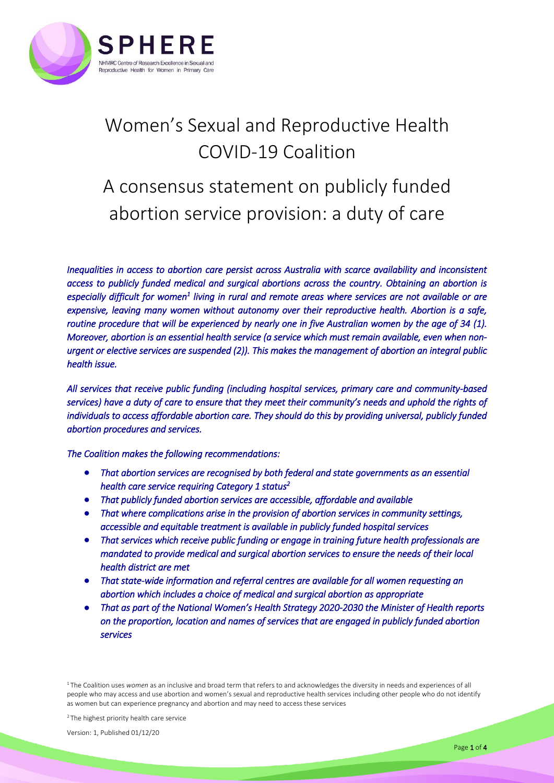

# Women's Sexual and Reproductive Health COVID-19 Coalition

# A consensus statement on publicly funded abortion service provision: a duty of care

*Inequalities in access to abortion care persist across Australia with scarce availability and inconsistent access to publicly funded medical and surgical abortions across the country. Obtaining an abortion is*  especially difficult for women<sup>1</sup> living in rural and remote areas where services are not available or are *expensive, leaving many women without autonomy over their reproductive health. Abortion is a safe, routine procedure that will be experienced by nearly one in five Australian women by the age of 34 (1). Moreover, abortion is an essential health service (a service which must remain available, even when nonurgent or elective services are suspended (2)). This makes the management of abortion an integral public health issue.* 

*All services that receive public funding (including hospital services, primary care and community-based services) have a duty of care to ensure that they meet their community's needs and uphold the rights of individuals to access affordable abortion care. They should do this by providing universal, publicly funded abortion procedures and services.* 

*The Coalition makes the following recommendations:* 

- *That abortion services are recognised by both federal and state governments as an essential health care service requiring Category 1 status 2*
- *That publicly funded abortion services are accessible, affordable and available*
- *That where complications arise in the provision of abortion services in community settings, accessible and equitable treatment is available in publicly funded hospital services*
- *That services which receive public funding or engage in training future health professionals are mandated to provide medical and surgical abortion services to ensure the needs of their local health district are met*
- *That state-wide information and referral centres are available for all women requesting an abortion which includes a choice of medical and surgical abortion as appropriate*
- *That as part of the National Women's Health Strategy 2020-2030 the Minister of Health reports on the proportion, location and names of services that are engaged in publicly funded abortion services*

2 The highest priority health care service

<sup>&</sup>lt;sup>1</sup>The Coalition uses women as an inclusive and broad term that refers to and acknowledges the diversity in needs and experiences of all people who may access and use abortion and women's sexual and reproductive health services including other people who do not identify as women but can experience pregnancy and abortion and may need to access these services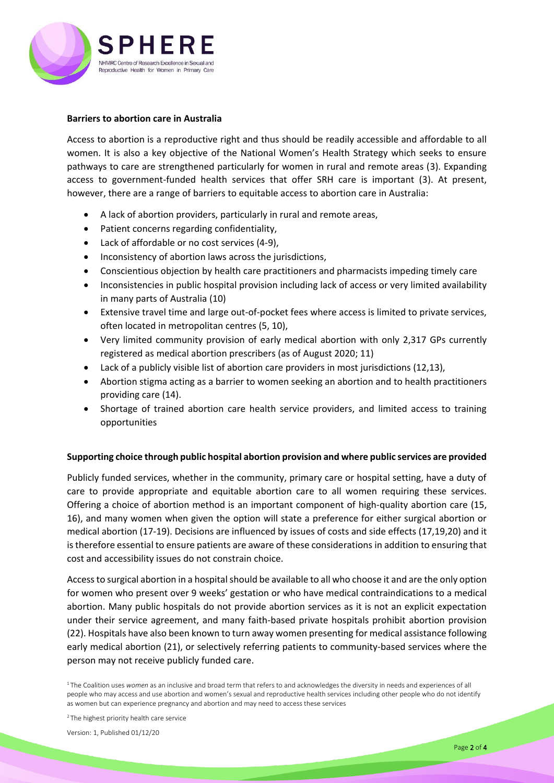

# **Barriers to abortion care in Australia**

Access to abortion is a reproductive right and thus should be readily accessible and affordable to all women. It is also a key objective of the National Women's Health Strategy which seeks to ensure pathways to care are strengthened particularly for women in rural and remote areas (3). Expanding access to government-funded health services that offer SRH care is important (3). At present, however, there are a range of barriers to equitable access to abortion care in Australia:

- A lack of abortion providers, particularly in rural and remote areas,
- Patient concerns regarding confidentiality,
- Lack of affordable or no cost services (4-9),
- Inconsistency of abortion laws across the jurisdictions,
- Conscientious objection by health care practitioners and pharmacists impeding timely care
- Inconsistencies in public hospital provision including lack of access or very limited availability in many parts of Australia (10)
- Extensive travel time and large out-of-pocket fees where access is limited to private services, often located in metropolitan centres (5, 10),
- Very limited community provision of early medical abortion with only 2,317 GPs currently registered as medical abortion prescribers (as of August 2020; 11)
- Lack of a publicly visible list of abortion care providers in most jurisdictions (12,13),
- Abortion stigma acting as a barrier to women seeking an abortion and to health practitioners providing care (14).
- Shortage of trained abortion care health service providers, and limited access to training opportunities

# **Supporting choice through public hospital abortion provision and where public services are provided**

Publicly funded services, whether in the community, primary care or hospital setting, have a duty of care to provide appropriate and equitable abortion care to all women requiring these services. Offering a choice of abortion method is an important component of high-quality abortion care (15, 16), and many women when given the option will state a preference for either surgical abortion or medical abortion (17-19). Decisions are influenced by issues of costs and side effects (17,19,20) and it is therefore essential to ensure patients are aware of these considerations in addition to ensuring that cost and accessibility issues do not constrain choice.

Access to surgical abortion in a hospital should be available to all who choose it and are the only option for women who present over 9 weeks' gestation or who have medical contraindications to a medical abortion. Many public hospitals do not provide abortion services as it is not an explicit expectation under their service agreement, and many faith-based private hospitals prohibit abortion provision (22). Hospitals have also been known to turn away women presenting for medical assistance following early medical abortion (21), or selectively referring patients to community-based services where the person may not receive publicly funded care.

<sup>1</sup>The Coalition uses women as an inclusive and broad term that refers to and acknowledges the diversity in needs and experiences of all people who may access and use abortion and women's sexual and reproductive health services including other people who do not identify as women but can experience pregnancy and abortion and may need to access these services

<sup>2</sup> The highest priority health care service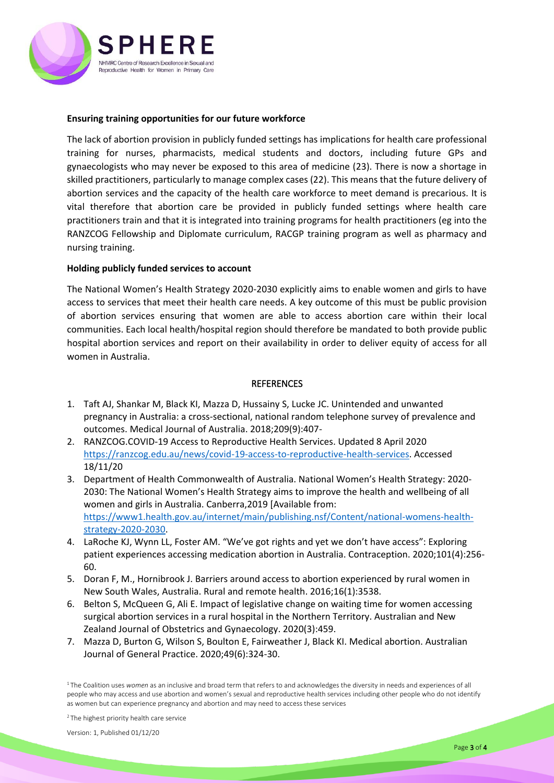

## **Ensuring training opportunities for our future workforce**

The lack of abortion provision in publicly funded settings has implications for health care professional training for nurses, pharmacists, medical students and doctors, including future GPs and gynaecologists who may never be exposed to this area of medicine (23). There is now a shortage in skilled practitioners, particularly to manage complex cases (22). This means that the future delivery of abortion services and the capacity of the health care workforce to meet demand is precarious. It is vital therefore that abortion care be provided in publicly funded settings where health care practitioners train and that it is integrated into training programs for health practitioners (eg into the RANZCOG Fellowship and Diplomate curriculum, RACGP training program as well as pharmacy and nursing training.

## **Holding publicly funded services to account**

The National Women's Health Strategy 2020-2030 explicitly aims to enable women and girls to have access to services that meet their health care needs. A key outcome of this must be public provision of abortion services ensuring that women are able to access abortion care within their local communities. Each local health/hospital region should therefore be mandated to both provide public hospital abortion services and report on their availability in order to deliver equity of access for all women in Australia.

## **REFERENCES**

- 1. Taft AJ, Shankar M, Black KI, Mazza D, Hussainy S, Lucke JC. Unintended and unwanted pregnancy in Australia: a cross‐sectional, national random telephone survey of prevalence and outcomes. Medical Journal of Australia. 2018;209(9):407-
- 2. RANZCOG.COVID-19 Access to Reproductive Health Services. Updated 8 April 2020 [https://ranzcog.edu.au/news/covid-19-access-to-reproductive-health-services.](https://ranzcog.edu.au/news/covid-19-access-to-reproductive-health-services) Accessed 18/11/20
- 3. Department of Health Commonwealth of Australia. National Women's Health Strategy: 2020- 2030: The National Women's Health Strategy aims to improve the health and wellbeing of all women and girls in Australia. Canberra,2019 [Available from: [https://www1.health.gov.au/internet/main/publishing.nsf/Content/national-womens-health](https://www1.health.gov.au/internet/main/publishing.nsf/Content/national-womens-health-strategy-2020-2030)[strategy-2020-2030.](https://www1.health.gov.au/internet/main/publishing.nsf/Content/national-womens-health-strategy-2020-2030)
- 4. LaRoche KJ, Wynn LL, Foster AM. "We've got rights and yet we don't have access": Exploring patient experiences accessing medication abortion in Australia. Contraception. 2020;101(4):256- 60.
- 5. Doran F, M., Hornibrook J. Barriers around access to abortion experienced by rural women in New South Wales, Australia. Rural and remote health. 2016;16(1):3538.
- 6. Belton S, McQueen G, Ali E. Impact of legislative change on waiting time for women accessing surgical abortion services in a rural hospital in the Northern Territory. Australian and New Zealand Journal of Obstetrics and Gynaecology. 2020(3):459.
- 7. Mazza D, Burton G, Wilson S, Boulton E, Fairweather J, Black KI. Medical abortion. Australian Journal of General Practice. 2020;49(6):324-30.

<sup>1</sup>The Coalition uses women as an inclusive and broad term that refers to and acknowledges the diversity in needs and experiences of all people who may access and use abortion and women's sexual and reproductive health services including other people who do not identify as women but can experience pregnancy and abortion and may need to access these services

2 The highest priority health care service